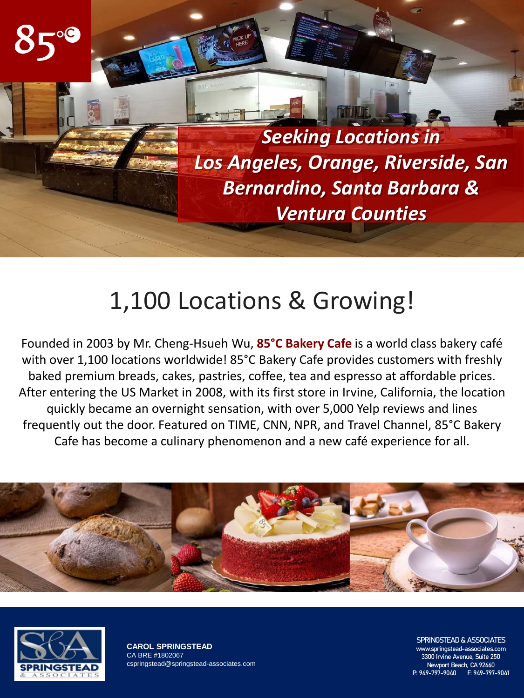

## 1,100 Locations & Growing!

Founded in 2003 by Mr. Cheng-Hsueh Wu, **85°C Bakery Cafe** is a world class bakery café with over 1,100 locations worldwide! 85°C Bakery Cafe provides customers with freshly baked premium breads, cakes, pastries, coffee, tea and espresso at affordable prices. After entering the US Market in 2008, with its first store in Irvine, California, the location quickly became an overnight sensation, with over 5,000 Yelp reviews and lines frequently out the door. Featured on TIME, CNN, NPR, and Travel Channel, 85°C Bakery Cafe has become a culinary phenomenon and a new café experience for all.





**CAROL SPRINGSTEAD** CA BRE #1802067 cspringstead@springstead-associates.com SPRINGSTEAD & ASSOCIATES

www.springstead-associates.com 3300 Irvine Avenue, Suite 250 Newport Beach, CA 92660 P: 949-797-9040 F: 949-797-9041